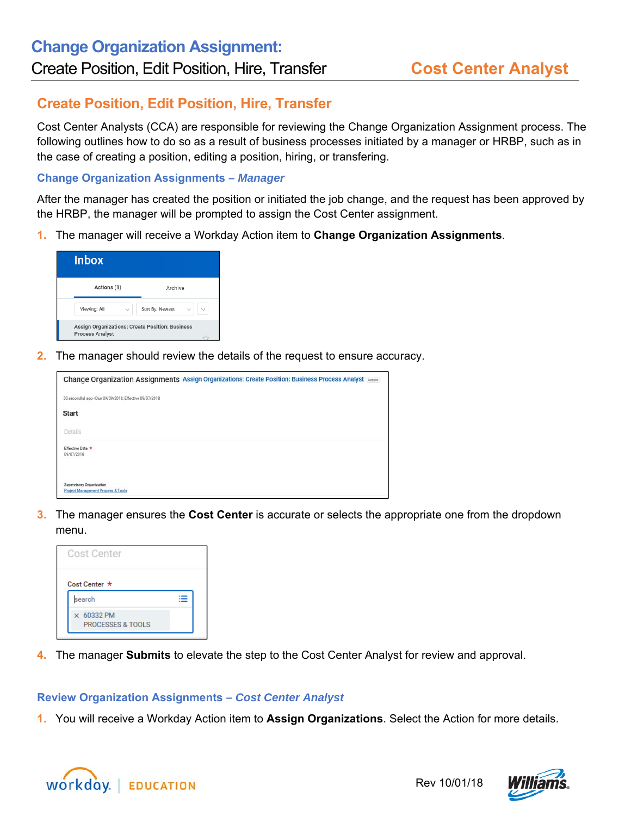## **Create Position, Edit Position, Hire, Transfer**

Cost Center Analysts (CCA) are responsible for reviewing the Change Organization Assignment process. The following outlines how to do so as a result of business processes initiated by a manager or HRBP, such as in the case of creating a position, editing a position, hiring, or transfering.

## **Change Organization Assignments** *– Manager*

After the manager has created the position or initiated the job change, and the request has been approved by the HRBP, the manager will be prompted to assign the Cost Center assignment.

**1.** The manager will receive a Workday Action item to **Change Organization Assignments**.

| <b>Inbox</b>                                                              |                 |
|---------------------------------------------------------------------------|-----------------|
| Actions (1)                                                               | Archive         |
| Viewing: All                                                              | Sort By: Newest |
| Assign Organizations: Create Position: Business<br><b>Process Analyst</b> |                 |

**2.** The manager should review the details of the request to ensure accuracy.

| Change Organization Assignments Assign Organizations: Create Position: Business Process Analyst Antoni |
|--------------------------------------------------------------------------------------------------------|
| 30 second(s) ago - Due 09/09/2018; Effective 09/07/2018                                                |
| <b>Start</b>                                                                                           |
| Details                                                                                                |
| Effective Date *<br>09/07/2018                                                                         |
| Supervisory Organization<br><b>Project Management Process &amp; Tools</b>                              |

**3.** The manager ensures the **Cost Center** is accurate or selects the appropriate one from the dropdown menu.

| <b>Cost Center</b>                                |  |
|---------------------------------------------------|--|
| Cost Center *                                     |  |
| search                                            |  |
| $\times$ 60332 PM<br><b>PROCESSES &amp; TOOLS</b> |  |

**4.** The manager **Submits** to elevate the step to the Cost Center Analyst for review and approval.

## **Review Organization Assignments** *– Cost Center Analyst*

**1.** You will receive a Workday Action item to **Assign Organizations**. Select the Action for more details.